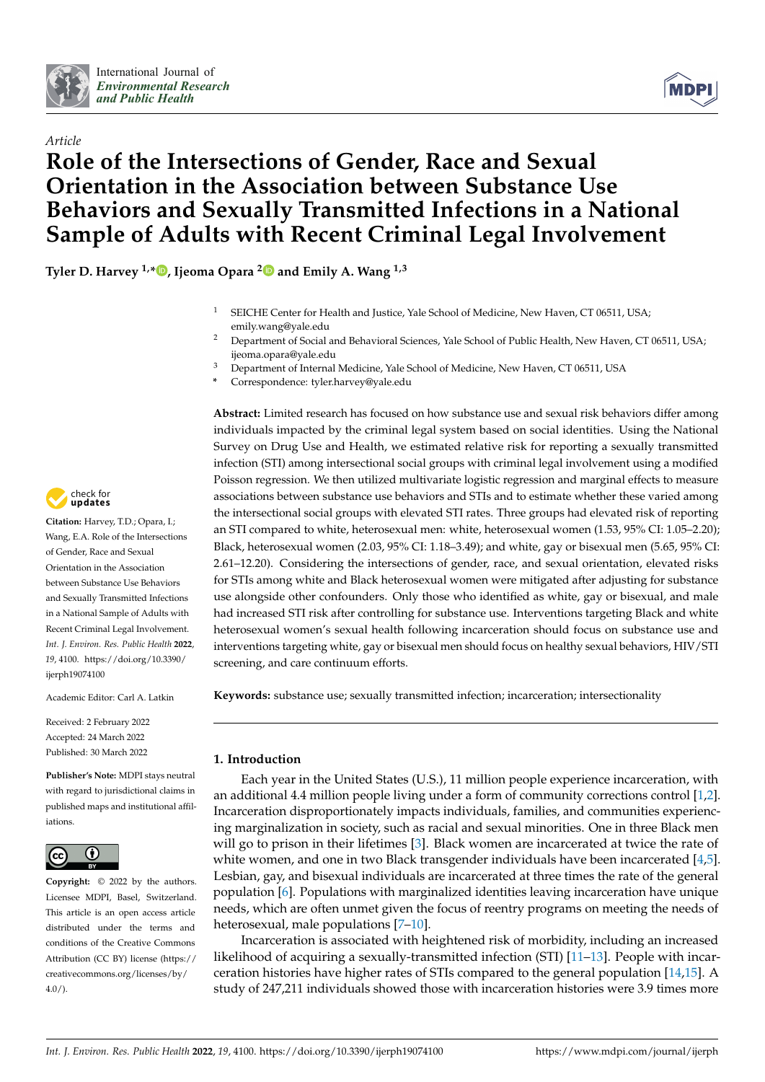

*Article*



# **Role of the Intersections of Gender, Race and Sexual Orientation in the Association between Substance Use Behaviors and Sexually Transmitted Infections in a National Sample of Adults with Recent Criminal Legal Involvement**

**Tyler D. Harvey 1,[\\*](https://orcid.org/0000-0002-0524-5416) , Ijeoma Opara [2](https://orcid.org/0000-0002-1118-4699) and Emily A. Wang 1,3**

- <sup>1</sup> SEICHE Center for Health and Justice, Yale School of Medicine, New Haven, CT 06511, USA; emily.wang@yale.edu
- <sup>2</sup> Department of Social and Behavioral Sciences, Yale School of Public Health, New Haven, CT 06511, USA; ijeoma.opara@yale.edu
- <sup>3</sup> Department of Internal Medicine, Yale School of Medicine, New Haven, CT 06511, USA
- **\*** Correspondence: tyler.harvey@yale.edu

**Abstract:** Limited research has focused on how substance use and sexual risk behaviors differ among individuals impacted by the criminal legal system based on social identities. Using the National Survey on Drug Use and Health, we estimated relative risk for reporting a sexually transmitted infection (STI) among intersectional social groups with criminal legal involvement using a modified Poisson regression. We then utilized multivariate logistic regression and marginal effects to measure associations between substance use behaviors and STIs and to estimate whether these varied among the intersectional social groups with elevated STI rates. Three groups had elevated risk of reporting an STI compared to white, heterosexual men: white, heterosexual women (1.53, 95% CI: 1.05–2.20); Black, heterosexual women (2.03, 95% CI: 1.18–3.49); and white, gay or bisexual men (5.65, 95% CI: 2.61–12.20). Considering the intersections of gender, race, and sexual orientation, elevated risks for STIs among white and Black heterosexual women were mitigated after adjusting for substance use alongside other confounders. Only those who identified as white, gay or bisexual, and male had increased STI risk after controlling for substance use. Interventions targeting Black and white heterosexual women's sexual health following incarceration should focus on substance use and interventions targeting white, gay or bisexual men should focus on healthy sexual behaviors, HIV/STI screening, and care continuum efforts.

**Keywords:** substance use; sexually transmitted infection; incarceration; intersectionality

# **1. Introduction**

Each year in the United States (U.S.), 11 million people experience incarceration, with an additional 4.4 million people living under a form of community corrections control [\[1](#page-10-0)[,2\]](#page-10-1). Incarceration disproportionately impacts individuals, families, and communities experiencing marginalization in society, such as racial and sexual minorities. One in three Black men will go to prison in their lifetimes [\[3\]](#page-10-2). Black women are incarcerated at twice the rate of white women, and one in two Black transgender individuals have been incarcerated [\[4,](#page-10-3)[5\]](#page-10-4). Lesbian, gay, and bisexual individuals are incarcerated at three times the rate of the general population [\[6\]](#page-10-5). Populations with marginalized identities leaving incarceration have unique needs, which are often unmet given the focus of reentry programs on meeting the needs of heterosexual, male populations [\[7–](#page-10-6)[10\]](#page-10-7).

Incarceration is associated with heightened risk of morbidity, including an increased likelihood of acquiring a sexually-transmitted infection (STI) [\[11](#page-10-8)[–13\]](#page-10-9). People with incarceration histories have higher rates of STIs compared to the general population [\[14](#page-10-10)[,15\]](#page-11-0). A study of 247,211 individuals showed those with incarceration histories were 3.9 times more



**Citation:** Harvey, T.D.; Opara, I.; Wang, E.A. Role of the Intersections of Gender, Race and Sexual Orientation in the Association between Substance Use Behaviors and Sexually Transmitted Infections in a National Sample of Adults with Recent Criminal Legal Involvement. *Int. J. Environ. Res. Public Health* **2022**, *19*, 4100. [https://doi.org/10.3390/](https://doi.org/10.3390/ijerph19074100) [ijerph19074100](https://doi.org/10.3390/ijerph19074100)

Academic Editor: Carl A. Latkin

Received: 2 February 2022 Accepted: 24 March 2022 Published: 30 March 2022

**Publisher's Note:** MDPI stays neutral with regard to jurisdictional claims in published maps and institutional affiliations.



**Copyright:** © 2022 by the authors. Licensee MDPI, Basel, Switzerland. This article is an open access article distributed under the terms and conditions of the Creative Commons Attribution (CC BY) license [\(https://](https://creativecommons.org/licenses/by/4.0/) [creativecommons.org/licenses/by/](https://creativecommons.org/licenses/by/4.0/)  $4.0/$ ).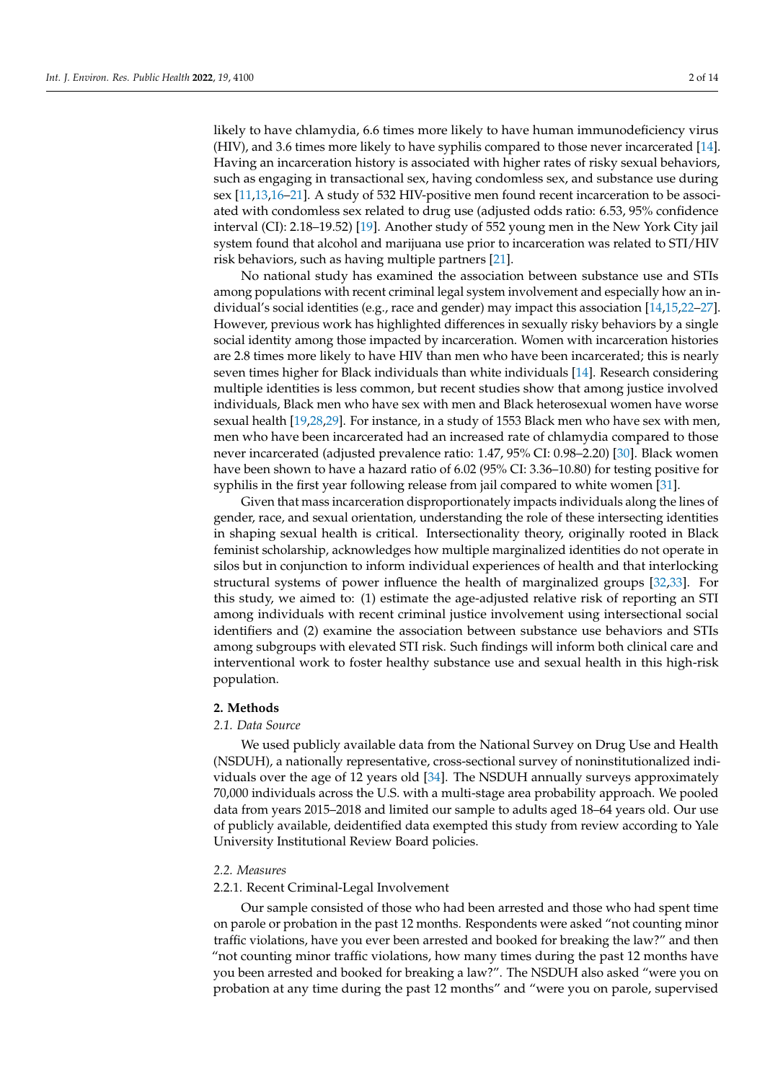likely to have chlamydia, 6.6 times more likely to have human immunodeficiency virus (HIV), and 3.6 times more likely to have syphilis compared to those never incarcerated [\[14\]](#page-10-10). Having an incarceration history is associated with higher rates of risky sexual behaviors, such as engaging in transactional sex, having condomless sex, and substance use during sex [\[11,](#page-10-8)[13,](#page-10-9)[16–](#page-11-1)[21\]](#page-11-2). A study of 532 HIV-positive men found recent incarceration to be associated with condomless sex related to drug use (adjusted odds ratio: 6.53, 95% confidence interval (CI): 2.18–19.52) [\[19\]](#page-11-3). Another study of 552 young men in the New York City jail system found that alcohol and marijuana use prior to incarceration was related to STI/HIV risk behaviors, such as having multiple partners [\[21\]](#page-11-2).

No national study has examined the association between substance use and STIs among populations with recent criminal legal system involvement and especially how an individual's social identities (e.g., race and gender) may impact this association [\[14](#page-10-10)[,15](#page-11-0)[,22](#page-11-4)[–27\]](#page-11-5). However, previous work has highlighted differences in sexually risky behaviors by a single social identity among those impacted by incarceration. Women with incarceration histories are 2.8 times more likely to have HIV than men who have been incarcerated; this is nearly seven times higher for Black individuals than white individuals [\[14\]](#page-10-10). Research considering multiple identities is less common, but recent studies show that among justice involved individuals, Black men who have sex with men and Black heterosexual women have worse sexual health [\[19](#page-11-3)[,28](#page-11-6)[,29\]](#page-11-7). For instance, in a study of 1553 Black men who have sex with men, men who have been incarcerated had an increased rate of chlamydia compared to those never incarcerated (adjusted prevalence ratio: 1.47, 95% CI: 0.98–2.20) [\[30\]](#page-11-8). Black women have been shown to have a hazard ratio of 6.02 (95% CI: 3.36–10.80) for testing positive for syphilis in the first year following release from jail compared to white women [\[31\]](#page-11-9).

Given that mass incarceration disproportionately impacts individuals along the lines of gender, race, and sexual orientation, understanding the role of these intersecting identities in shaping sexual health is critical. Intersectionality theory, originally rooted in Black feminist scholarship, acknowledges how multiple marginalized identities do not operate in silos but in conjunction to inform individual experiences of health and that interlocking structural systems of power influence the health of marginalized groups [\[32](#page-11-10)[,33\]](#page-11-11). For this study, we aimed to: (1) estimate the age-adjusted relative risk of reporting an STI among individuals with recent criminal justice involvement using intersectional social identifiers and (2) examine the association between substance use behaviors and STIs among subgroups with elevated STI risk. Such findings will inform both clinical care and interventional work to foster healthy substance use and sexual health in this high-risk population.

# **2. Methods**

# *2.1. Data Source*

We used publicly available data from the National Survey on Drug Use and Health (NSDUH), a nationally representative, cross-sectional survey of noninstitutionalized individuals over the age of 12 years old [\[34\]](#page-11-12). The NSDUH annually surveys approximately 70,000 individuals across the U.S. with a multi-stage area probability approach. We pooled data from years 2015–2018 and limited our sample to adults aged 18–64 years old. Our use of publicly available, deidentified data exempted this study from review according to Yale University Institutional Review Board policies.

## *2.2. Measures*

#### 2.2.1. Recent Criminal-Legal Involvement

Our sample consisted of those who had been arrested and those who had spent time on parole or probation in the past 12 months. Respondents were asked "not counting minor traffic violations, have you ever been arrested and booked for breaking the law?" and then "not counting minor traffic violations, how many times during the past 12 months have you been arrested and booked for breaking a law?". The NSDUH also asked "were you on probation at any time during the past 12 months" and "were you on parole, supervised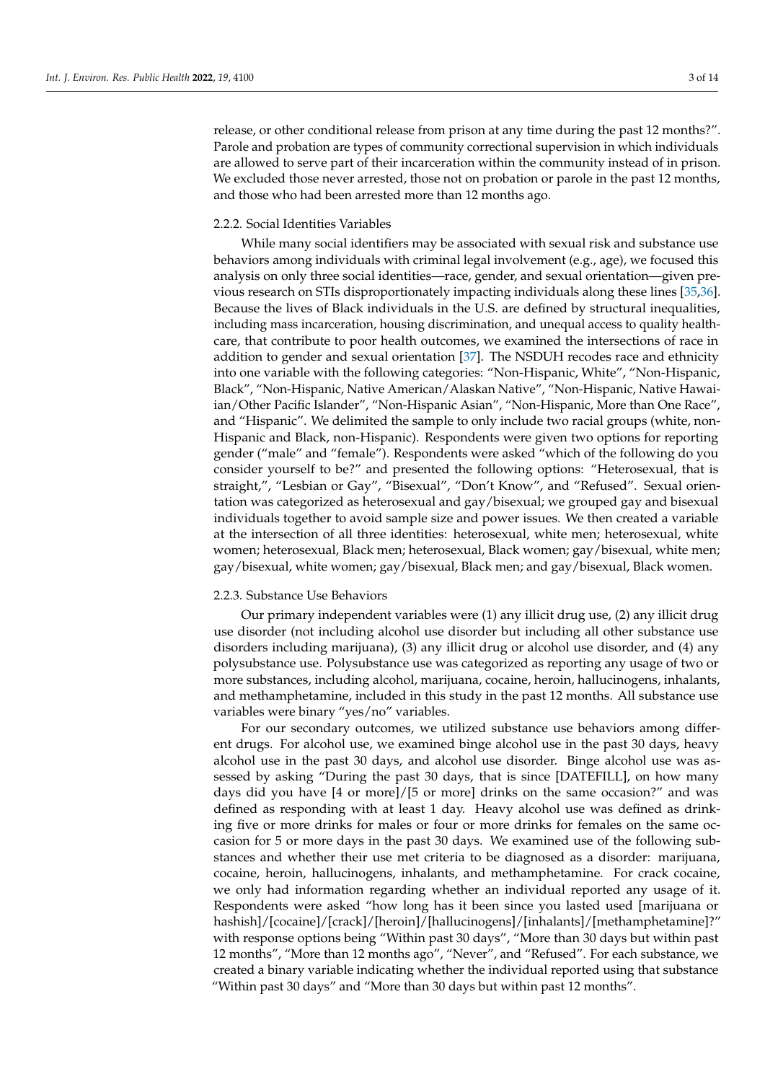release, or other conditional release from prison at any time during the past 12 months?". Parole and probation are types of community correctional supervision in which individuals are allowed to serve part of their incarceration within the community instead of in prison. We excluded those never arrested, those not on probation or parole in the past 12 months, and those who had been arrested more than 12 months ago.

# 2.2.2. Social Identities Variables

While many social identifiers may be associated with sexual risk and substance use behaviors among individuals with criminal legal involvement (e.g., age), we focused this analysis on only three social identities—race, gender, and sexual orientation—given previous research on STIs disproportionately impacting individuals along these lines [\[35,](#page-11-13)[36\]](#page-11-14). Because the lives of Black individuals in the U.S. are defined by structural inequalities, including mass incarceration, housing discrimination, and unequal access to quality healthcare, that contribute to poor health outcomes, we examined the intersections of race in addition to gender and sexual orientation [\[37\]](#page-11-15). The NSDUH recodes race and ethnicity into one variable with the following categories: "Non-Hispanic, White", "Non-Hispanic, Black", "Non-Hispanic, Native American/Alaskan Native", "Non-Hispanic, Native Hawaiian/Other Pacific Islander", "Non-Hispanic Asian", "Non-Hispanic, More than One Race", and "Hispanic". We delimited the sample to only include two racial groups (white, non-Hispanic and Black, non-Hispanic). Respondents were given two options for reporting gender ("male" and "female"). Respondents were asked "which of the following do you consider yourself to be?" and presented the following options: "Heterosexual, that is straight,", "Lesbian or Gay", "Bisexual", "Don't Know", and "Refused". Sexual orientation was categorized as heterosexual and gay/bisexual; we grouped gay and bisexual individuals together to avoid sample size and power issues. We then created a variable at the intersection of all three identities: heterosexual, white men; heterosexual, white women; heterosexual, Black men; heterosexual, Black women; gay/bisexual, white men; gay/bisexual, white women; gay/bisexual, Black men; and gay/bisexual, Black women.

## 2.2.3. Substance Use Behaviors

Our primary independent variables were (1) any illicit drug use, (2) any illicit drug use disorder (not including alcohol use disorder but including all other substance use disorders including marijuana), (3) any illicit drug or alcohol use disorder, and (4) any polysubstance use. Polysubstance use was categorized as reporting any usage of two or more substances, including alcohol, marijuana, cocaine, heroin, hallucinogens, inhalants, and methamphetamine, included in this study in the past 12 months. All substance use variables were binary "yes/no" variables.

For our secondary outcomes, we utilized substance use behaviors among different drugs. For alcohol use, we examined binge alcohol use in the past 30 days, heavy alcohol use in the past 30 days, and alcohol use disorder. Binge alcohol use was assessed by asking "During the past 30 days, that is since [DATEFILL], on how many days did you have [4 or more]/[5 or more] drinks on the same occasion?" and was defined as responding with at least 1 day. Heavy alcohol use was defined as drinking five or more drinks for males or four or more drinks for females on the same occasion for 5 or more days in the past 30 days. We examined use of the following substances and whether their use met criteria to be diagnosed as a disorder: marijuana, cocaine, heroin, hallucinogens, inhalants, and methamphetamine. For crack cocaine, we only had information regarding whether an individual reported any usage of it. Respondents were asked "how long has it been since you lasted used [marijuana or hashish]/[cocaine]/[crack]/[heroin]/[hallucinogens]/[inhalants]/[methamphetamine]?" with response options being "Within past 30 days", "More than 30 days but within past 12 months", "More than 12 months ago", "Never", and "Refused". For each substance, we created a binary variable indicating whether the individual reported using that substance "Within past 30 days" and "More than 30 days but within past 12 months".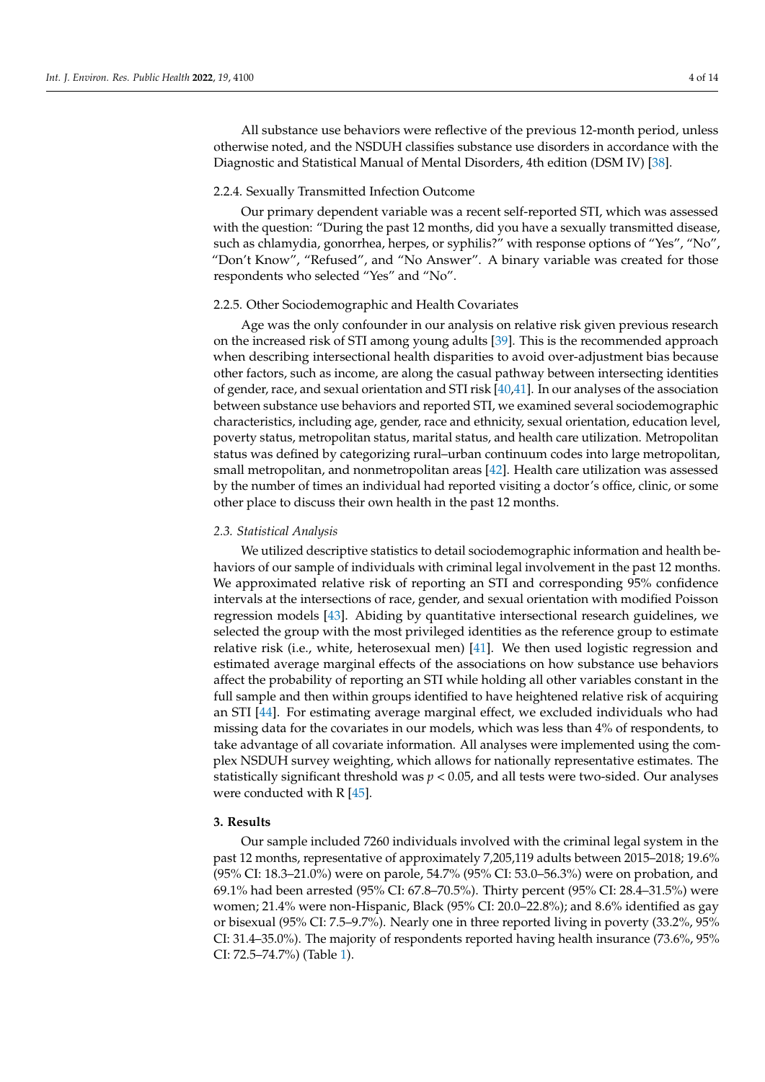All substance use behaviors were reflective of the previous 12-month period, unless otherwise noted, and the NSDUH classifies substance use disorders in accordance with the Diagnostic and Statistical Manual of Mental Disorders, 4th edition (DSM IV) [\[38\]](#page-11-16).

## 2.2.4. Sexually Transmitted Infection Outcome

Our primary dependent variable was a recent self-reported STI, which was assessed with the question: "During the past 12 months, did you have a sexually transmitted disease, such as chlamydia, gonorrhea, herpes, or syphilis?" with response options of "Yes", "No", "Don't Know", "Refused", and "No Answer". A binary variable was created for those respondents who selected "Yes" and "No".

#### 2.2.5. Other Sociodemographic and Health Covariates

Age was the only confounder in our analysis on relative risk given previous research on the increased risk of STI among young adults [\[39\]](#page-11-17). This is the recommended approach when describing intersectional health disparities to avoid over-adjustment bias because other factors, such as income, are along the casual pathway between intersecting identities of gender, race, and sexual orientation and STI risk [\[40,](#page-11-18)[41\]](#page-12-0). In our analyses of the association between substance use behaviors and reported STI, we examined several sociodemographic characteristics, including age, gender, race and ethnicity, sexual orientation, education level, poverty status, metropolitan status, marital status, and health care utilization. Metropolitan status was defined by categorizing rural–urban continuum codes into large metropolitan, small metropolitan, and nonmetropolitan areas [\[42\]](#page-12-1). Health care utilization was assessed by the number of times an individual had reported visiting a doctor's office, clinic, or some other place to discuss their own health in the past 12 months.

### *2.3. Statistical Analysis*

We utilized descriptive statistics to detail sociodemographic information and health behaviors of our sample of individuals with criminal legal involvement in the past 12 months. We approximated relative risk of reporting an STI and corresponding 95% confidence intervals at the intersections of race, gender, and sexual orientation with modified Poisson regression models [\[43\]](#page-12-2). Abiding by quantitative intersectional research guidelines, we selected the group with the most privileged identities as the reference group to estimate relative risk (i.e., white, heterosexual men) [\[41\]](#page-12-0). We then used logistic regression and estimated average marginal effects of the associations on how substance use behaviors affect the probability of reporting an STI while holding all other variables constant in the full sample and then within groups identified to have heightened relative risk of acquiring an STI [\[44\]](#page-12-3). For estimating average marginal effect, we excluded individuals who had missing data for the covariates in our models, which was less than 4% of respondents, to take advantage of all covariate information. All analyses were implemented using the complex NSDUH survey weighting, which allows for nationally representative estimates. The statistically significant threshold was *p* < 0.05, and all tests were two-sided. Our analyses were conducted with R [\[45\]](#page-12-4).

# **3. Results**

Our sample included 7260 individuals involved with the criminal legal system in the past 12 months, representative of approximately 7,205,119 adults between 2015–2018; 19.6% (95% CI: 18.3–21.0%) were on parole, 54.7% (95% CI: 53.0–56.3%) were on probation, and 69.1% had been arrested (95% CI: 67.8–70.5%). Thirty percent (95% CI: 28.4–31.5%) were women; 21.4% were non-Hispanic, Black (95% CI: 20.0–22.8%); and 8.6% identified as gay or bisexual (95% CI: 7.5–9.7%). Nearly one in three reported living in poverty (33.2%, 95% CI: 31.4–35.0%). The majority of respondents reported having health insurance (73.6%, 95% CI: 72.5–74.7%) (Table [1\)](#page-4-0).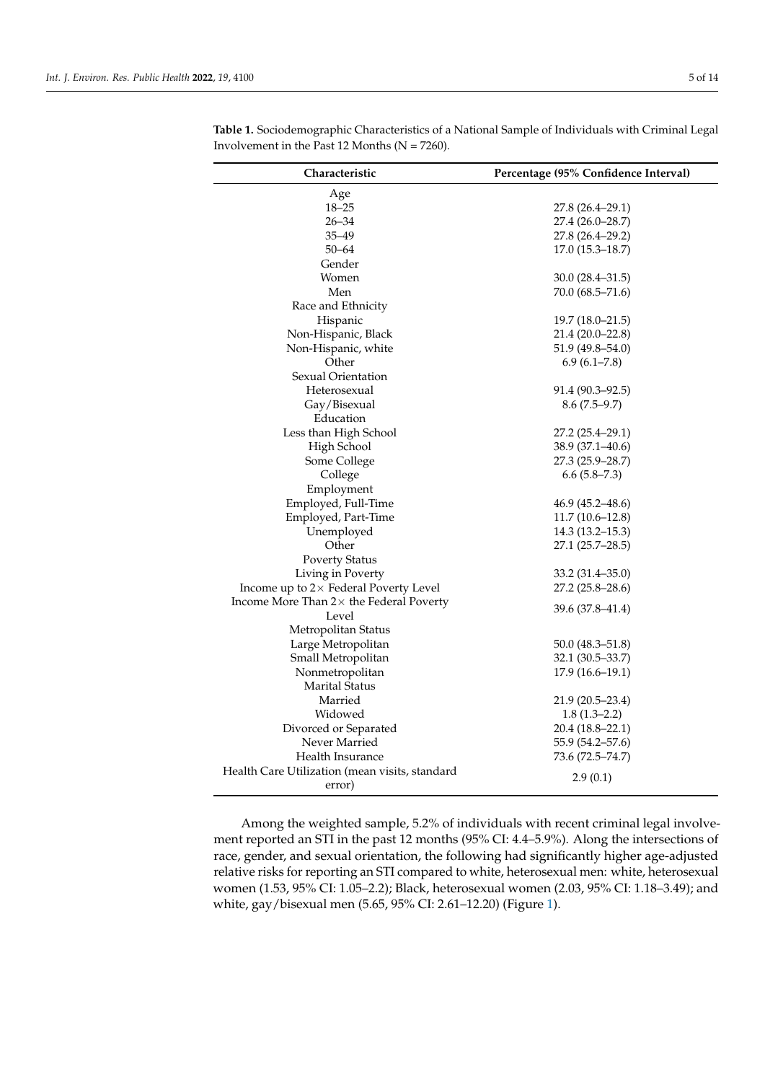| Characteristic                                  | Percentage (95% Confidence Interval) |  |  |  |
|-------------------------------------------------|--------------------------------------|--|--|--|
| Age                                             |                                      |  |  |  |
| $18 - 25$                                       | 27.8 (26.4–29.1)                     |  |  |  |
| $26 - 34$                                       | 27.4 (26.0-28.7)                     |  |  |  |
| $35 - 49$                                       | 27.8 (26.4–29.2)                     |  |  |  |
| $50 - 64$                                       | $17.0(15.3 - 18.7)$                  |  |  |  |
| Gender                                          |                                      |  |  |  |
| Women                                           | 30.0 (28.4–31.5)                     |  |  |  |
| Men                                             | 70.0 (68.5-71.6)                     |  |  |  |
| Race and Ethnicity                              |                                      |  |  |  |
| Hispanic                                        | $19.7(18.0 - 21.5)$                  |  |  |  |
| Non-Hispanic, Black                             | 21.4 (20.0-22.8)                     |  |  |  |
| Non-Hispanic, white                             | 51.9 (49.8–54.0)                     |  |  |  |
| Other                                           | 6.9(6.1–7.8)                         |  |  |  |
| Sexual Orientation                              |                                      |  |  |  |
| Heterosexual                                    | 91.4 (90.3–92.5)                     |  |  |  |
| Gay/Bisexual                                    | $8.6(7.5-9.7)$                       |  |  |  |
| Education                                       |                                      |  |  |  |
| Less than High School                           | 27.2 (25.4-29.1)                     |  |  |  |
| High School                                     | 38.9 (37.1-40.6)                     |  |  |  |
| Some College                                    | 27.3 (25.9–28.7)                     |  |  |  |
| College                                         | $6.6(5.8 - 7.3)$                     |  |  |  |
| Employment                                      |                                      |  |  |  |
| Employed, Full-Time                             | 46.9 (45.2–48.6)                     |  |  |  |
| Employed, Part-Time                             | $11.7(10.6 - 12.8)$                  |  |  |  |
| Unemployed                                      | $14.3(13.2 - 15.3)$                  |  |  |  |
| Other                                           | 27.1 (25.7–28.5)                     |  |  |  |
| <b>Poverty Status</b>                           |                                      |  |  |  |
| Living in Poverty                               | 33.2 (31.4-35.0)                     |  |  |  |
| Income up to $2 \times$ Federal Poverty Level   | 27.2 (25.8–28.6)                     |  |  |  |
| Income More Than $2 \times$ the Federal Poverty |                                      |  |  |  |
| Level                                           | 39.6 (37.8–41.4)                     |  |  |  |
| Metropolitan Status                             |                                      |  |  |  |
| Large Metropolitan                              | $50.0 (48.3 - 51.8)$                 |  |  |  |
| Small Metropolitan                              | 32.1 (30.5–33.7)                     |  |  |  |
| Nonmetropolitan                                 | $17.9(16.6-19.1)$                    |  |  |  |
| Marital Status                                  |                                      |  |  |  |
| Married                                         | $21.9(20.5 - 23.4)$                  |  |  |  |
| Widowed                                         | $1.8(1.3-2.2)$                       |  |  |  |
| Divorced or Separated                           | 20.4 (18.8–22.1)                     |  |  |  |
| Never Married                                   | 55.9 (54.2–57.6)                     |  |  |  |
| Health Insurance                                | 73.6 (72.5-74.7)                     |  |  |  |
| Health Care Utilization (mean visits, standard  |                                      |  |  |  |
| error)                                          | 2.9(0.1)                             |  |  |  |

<span id="page-4-0"></span>**Table 1.** Sociodemographic Characteristics of a National Sample of Individuals with Criminal Legal Involvement in the Past 12 Months (N = 7260).

Among the weighted sample, 5.2% of individuals with recent criminal legal involvement reported an STI in the past 12 months (95% CI: 4.4–5.9%). Along the intersections of race, gender, and sexual orientation, the following had significantly higher age-adjusted relative risks for reporting an STI compared to white, heterosexual men: white, heterosexual women (1.53, 95% CI: 1.05–2.2); Black, heterosexual women (2.03, 95% CI: 1.18–3.49); and white, gay/bisexual men (5.65, 95% CI: 2.61–12.20) (Figure [1\)](#page-5-0).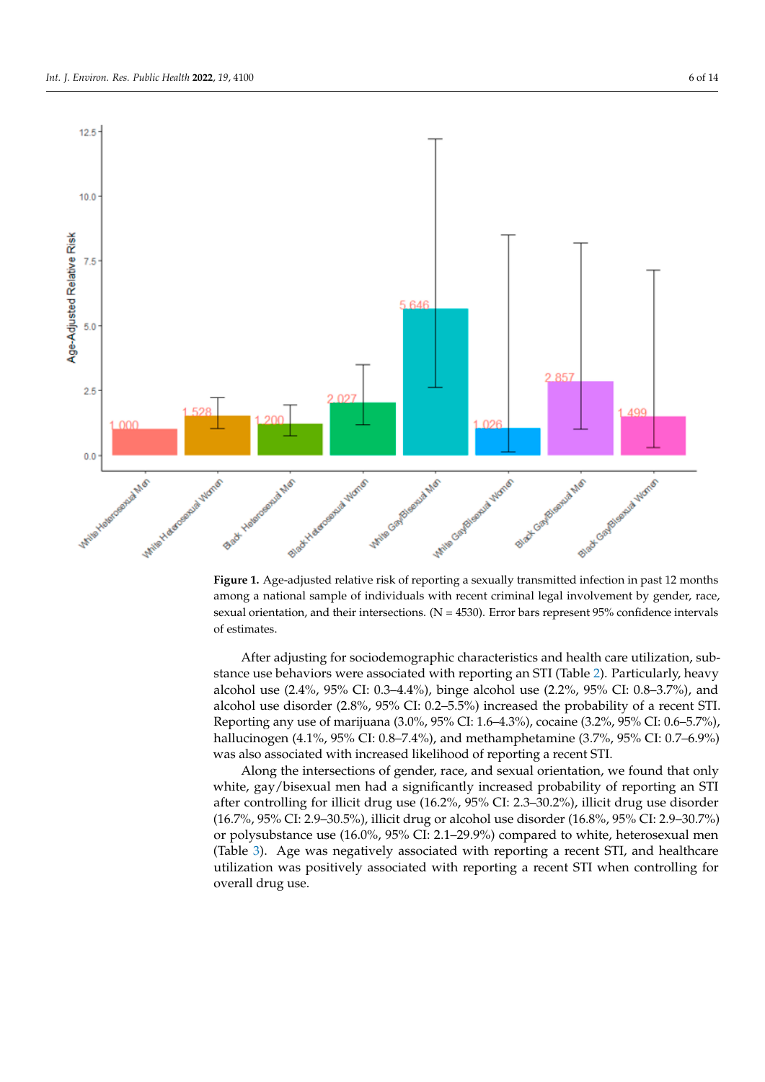<span id="page-5-0"></span>

**Figure 1.** Age-adjusted relative risk of reporting a sexually transmitted infection in past 12 months **Figure 1.** Age-adjusted relative risk of reporting a sexually transmitted infection in past 12 months among a national sample of individuals with recent criminal legal involvement by gender, race, among a national sample of individuals with recent criminal legal involvement by gender, race, sexual orientation, and their intersections.  $(N = 4530)$ . Error bars represent 95% confidence intervals of estimates.

After adjusting for sociodemographic characteristics and health care utilization, sub-After adjusting for sociodemographic characteristics and health care utilization, substance use behaviors were associated with reporting an STI (Table 2). Particularly, heavy stance use behaviors were associated with reporting an STI (Table [2\)](#page-6-0). Particularly, heavy alcohol use (2.4%, 95% CI: 0.3–4.4%), binge alcohol use (2.2%, 95% CI: 0.8–3.7%), and alcohol use disorder  $(2.8\%, 95\%$  CI:  $0.2–5.5\%)$  increased the probability of a recent STI. porting any use of marijuana (3.0%, 95% CI: 1.6–4.3%), cocaine (3.2%, 95% CI: 0.6–5.7%), Reporting any use of marijuana (3.0%, 95% CI: 1.6–4.3%), cocaine (3.2%, 95% CI: 0.6–5.7%), hallucinogen (4.1%, 95% CI: 0.8–7.4%), and methamphetamine (3.7%, 95% CI: 0.7–6.9%) hallucinogen (4.1%, 95% CI: 0.8–7.4%), and methamphetamine (3.7%, 95% CI: 0.7–6.9%) was also associated with increased likelihood of reporting a recent STI. was also associated with increased likelihood of reporting a recent STI.

Along the intersections of gender, race, and sexual orientation, we found that only white, gay/bisexual men had a significantly increased probability of reporting an STI after controlling for illicit drug use (16.2%, 95% CI: 2.3–30.2%), illicit drug use disorder (16.7%, 95% CI: 2.9–30.5%), illicit drug or alcohol use disorder (16.8%, 95% CI: 2.9–30.7%) or polysubstance use (16.0%, 95% CI: 2.1–29.9%) compared to white, heterosexual men (Table [3\)](#page-7-0). Age was negatively associated with reporting a recent STI, and healthcare utilization was positively associated with reporting a recent STI when controlling for overall drug use.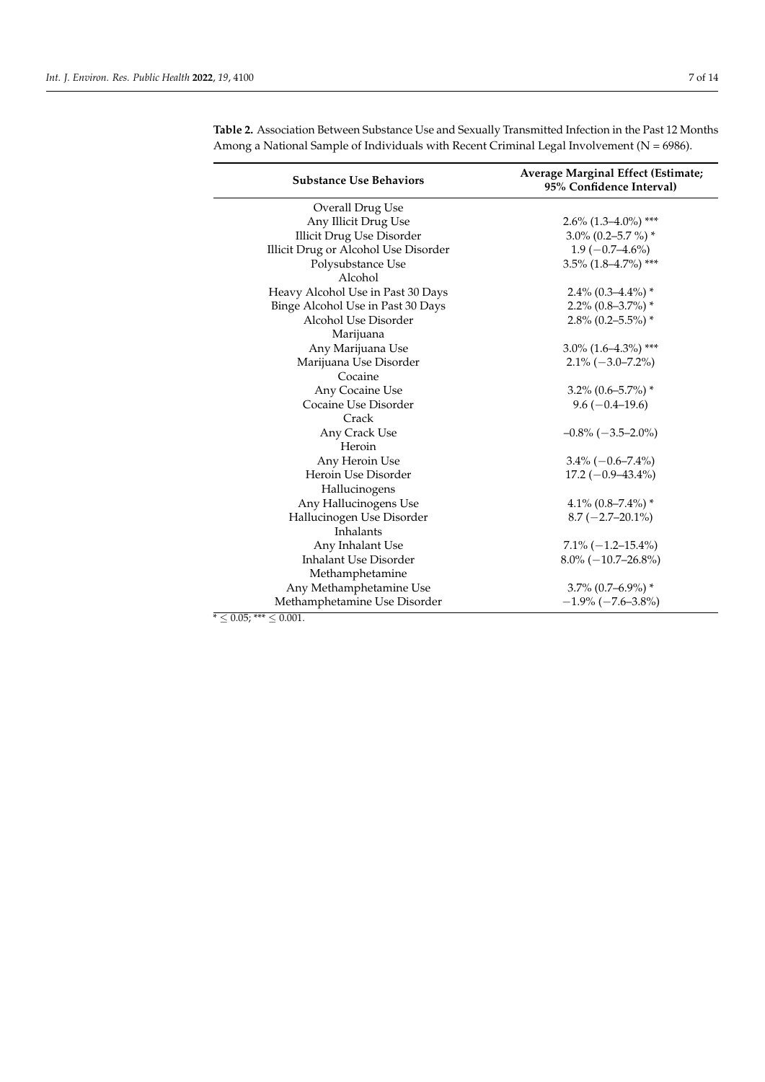| Overall Drug Use<br>Any Illicit Drug Use<br>$2.6\%$ (1.3–4.0%) ***<br><b>Illicit Drug Use Disorder</b><br>3.0% (0.2-5.7 %) *<br>Illicit Drug or Alcohol Use Disorder<br>$1.9(-0.7-4.6\%)$<br>$3.5\%$ (1.8-4.7%) ***<br>Polysubstance Use<br>Alcohol<br>Heavy Alcohol Use in Past 30 Days<br>$2.4\%$ (0.3-4.4%) *<br>Binge Alcohol Use in Past 30 Days<br>$2.2\%$ (0.8-3.7%) *<br>Alcohol Use Disorder<br>$2.8\%$ (0.2–5.5%) *<br>Marijuana<br>Any Marijuana Use<br>$3.0\%$ (1.6–4.3%) ***<br>Marijuana Use Disorder<br>$2.1\% (-3.0 - 7.2\%)$<br>Cocaine<br>Any Cocaine Use<br>$3.2\%$ (0.6–5.7%) *<br>Cocaine Use Disorder<br>$9.6(-0.4-19.6)$<br>Crack<br>Any Crack Use<br>$-0.8\%(-3.5-2.0\%)$<br>Heroin<br>Any Heroin Use<br>$3.4\%(-0.6–7.4\%)$<br>Heroin Use Disorder<br>$17.2 (-0.9 - 43.4\%)$<br>Hallucinogens<br>Any Hallucinogens Use<br>4.1% $(0.8 - 7.4\%)$ *<br>Hallucinogen Use Disorder<br>$8.7 (-2.7 - 20.1\%)$<br>Inhalants<br>Any Inhalant Use<br>$7.1\% (-1.2 - 15.4\%)$<br><b>Inhalant Use Disorder</b><br>$8.0\% (-10.7 - 26.8\%)$<br>Methamphetamine | <b>Substance Use Behaviors</b> | Average Marginal Effect (Estimate;<br>95% Confidence Interval) |  |  |  |  |
|----------------------------------------------------------------------------------------------------------------------------------------------------------------------------------------------------------------------------------------------------------------------------------------------------------------------------------------------------------------------------------------------------------------------------------------------------------------------------------------------------------------------------------------------------------------------------------------------------------------------------------------------------------------------------------------------------------------------------------------------------------------------------------------------------------------------------------------------------------------------------------------------------------------------------------------------------------------------------------------------------------------------------------------------------------------------------|--------------------------------|----------------------------------------------------------------|--|--|--|--|
|                                                                                                                                                                                                                                                                                                                                                                                                                                                                                                                                                                                                                                                                                                                                                                                                                                                                                                                                                                                                                                                                            |                                |                                                                |  |  |  |  |
|                                                                                                                                                                                                                                                                                                                                                                                                                                                                                                                                                                                                                                                                                                                                                                                                                                                                                                                                                                                                                                                                            |                                |                                                                |  |  |  |  |
|                                                                                                                                                                                                                                                                                                                                                                                                                                                                                                                                                                                                                                                                                                                                                                                                                                                                                                                                                                                                                                                                            |                                |                                                                |  |  |  |  |
|                                                                                                                                                                                                                                                                                                                                                                                                                                                                                                                                                                                                                                                                                                                                                                                                                                                                                                                                                                                                                                                                            |                                |                                                                |  |  |  |  |
|                                                                                                                                                                                                                                                                                                                                                                                                                                                                                                                                                                                                                                                                                                                                                                                                                                                                                                                                                                                                                                                                            |                                |                                                                |  |  |  |  |
|                                                                                                                                                                                                                                                                                                                                                                                                                                                                                                                                                                                                                                                                                                                                                                                                                                                                                                                                                                                                                                                                            |                                |                                                                |  |  |  |  |
|                                                                                                                                                                                                                                                                                                                                                                                                                                                                                                                                                                                                                                                                                                                                                                                                                                                                                                                                                                                                                                                                            |                                |                                                                |  |  |  |  |
|                                                                                                                                                                                                                                                                                                                                                                                                                                                                                                                                                                                                                                                                                                                                                                                                                                                                                                                                                                                                                                                                            |                                |                                                                |  |  |  |  |
|                                                                                                                                                                                                                                                                                                                                                                                                                                                                                                                                                                                                                                                                                                                                                                                                                                                                                                                                                                                                                                                                            |                                |                                                                |  |  |  |  |
|                                                                                                                                                                                                                                                                                                                                                                                                                                                                                                                                                                                                                                                                                                                                                                                                                                                                                                                                                                                                                                                                            |                                |                                                                |  |  |  |  |
|                                                                                                                                                                                                                                                                                                                                                                                                                                                                                                                                                                                                                                                                                                                                                                                                                                                                                                                                                                                                                                                                            |                                |                                                                |  |  |  |  |
|                                                                                                                                                                                                                                                                                                                                                                                                                                                                                                                                                                                                                                                                                                                                                                                                                                                                                                                                                                                                                                                                            |                                |                                                                |  |  |  |  |
|                                                                                                                                                                                                                                                                                                                                                                                                                                                                                                                                                                                                                                                                                                                                                                                                                                                                                                                                                                                                                                                                            |                                |                                                                |  |  |  |  |
|                                                                                                                                                                                                                                                                                                                                                                                                                                                                                                                                                                                                                                                                                                                                                                                                                                                                                                                                                                                                                                                                            |                                |                                                                |  |  |  |  |
|                                                                                                                                                                                                                                                                                                                                                                                                                                                                                                                                                                                                                                                                                                                                                                                                                                                                                                                                                                                                                                                                            |                                |                                                                |  |  |  |  |
|                                                                                                                                                                                                                                                                                                                                                                                                                                                                                                                                                                                                                                                                                                                                                                                                                                                                                                                                                                                                                                                                            |                                |                                                                |  |  |  |  |
|                                                                                                                                                                                                                                                                                                                                                                                                                                                                                                                                                                                                                                                                                                                                                                                                                                                                                                                                                                                                                                                                            |                                |                                                                |  |  |  |  |
|                                                                                                                                                                                                                                                                                                                                                                                                                                                                                                                                                                                                                                                                                                                                                                                                                                                                                                                                                                                                                                                                            |                                |                                                                |  |  |  |  |
|                                                                                                                                                                                                                                                                                                                                                                                                                                                                                                                                                                                                                                                                                                                                                                                                                                                                                                                                                                                                                                                                            |                                |                                                                |  |  |  |  |
|                                                                                                                                                                                                                                                                                                                                                                                                                                                                                                                                                                                                                                                                                                                                                                                                                                                                                                                                                                                                                                                                            |                                |                                                                |  |  |  |  |
|                                                                                                                                                                                                                                                                                                                                                                                                                                                                                                                                                                                                                                                                                                                                                                                                                                                                                                                                                                                                                                                                            |                                |                                                                |  |  |  |  |
|                                                                                                                                                                                                                                                                                                                                                                                                                                                                                                                                                                                                                                                                                                                                                                                                                                                                                                                                                                                                                                                                            |                                |                                                                |  |  |  |  |
|                                                                                                                                                                                                                                                                                                                                                                                                                                                                                                                                                                                                                                                                                                                                                                                                                                                                                                                                                                                                                                                                            |                                |                                                                |  |  |  |  |
|                                                                                                                                                                                                                                                                                                                                                                                                                                                                                                                                                                                                                                                                                                                                                                                                                                                                                                                                                                                                                                                                            |                                |                                                                |  |  |  |  |
|                                                                                                                                                                                                                                                                                                                                                                                                                                                                                                                                                                                                                                                                                                                                                                                                                                                                                                                                                                                                                                                                            |                                |                                                                |  |  |  |  |
|                                                                                                                                                                                                                                                                                                                                                                                                                                                                                                                                                                                                                                                                                                                                                                                                                                                                                                                                                                                                                                                                            |                                |                                                                |  |  |  |  |
|                                                                                                                                                                                                                                                                                                                                                                                                                                                                                                                                                                                                                                                                                                                                                                                                                                                                                                                                                                                                                                                                            |                                |                                                                |  |  |  |  |
| $3.7\%$ (0.7–6.9%) *                                                                                                                                                                                                                                                                                                                                                                                                                                                                                                                                                                                                                                                                                                                                                                                                                                                                                                                                                                                                                                                       | Any Methamphetamine Use        |                                                                |  |  |  |  |
| Methamphetamine Use Disorder<br>$-1.9\%$ ( $-7.6-3.8\%$ )                                                                                                                                                                                                                                                                                                                                                                                                                                                                                                                                                                                                                                                                                                                                                                                                                                                                                                                                                                                                                  |                                |                                                                |  |  |  |  |

<span id="page-6-0"></span>**Table 2.** Association Between Substance Use and Sexually Transmitted Infection in the Past 12 Months Among a National Sample of Individuals with Recent Criminal Legal Involvement (N = 6986).

 $\overline{{}^*\leq 0.05;}$  \*\*\*  $\leq 0.001.$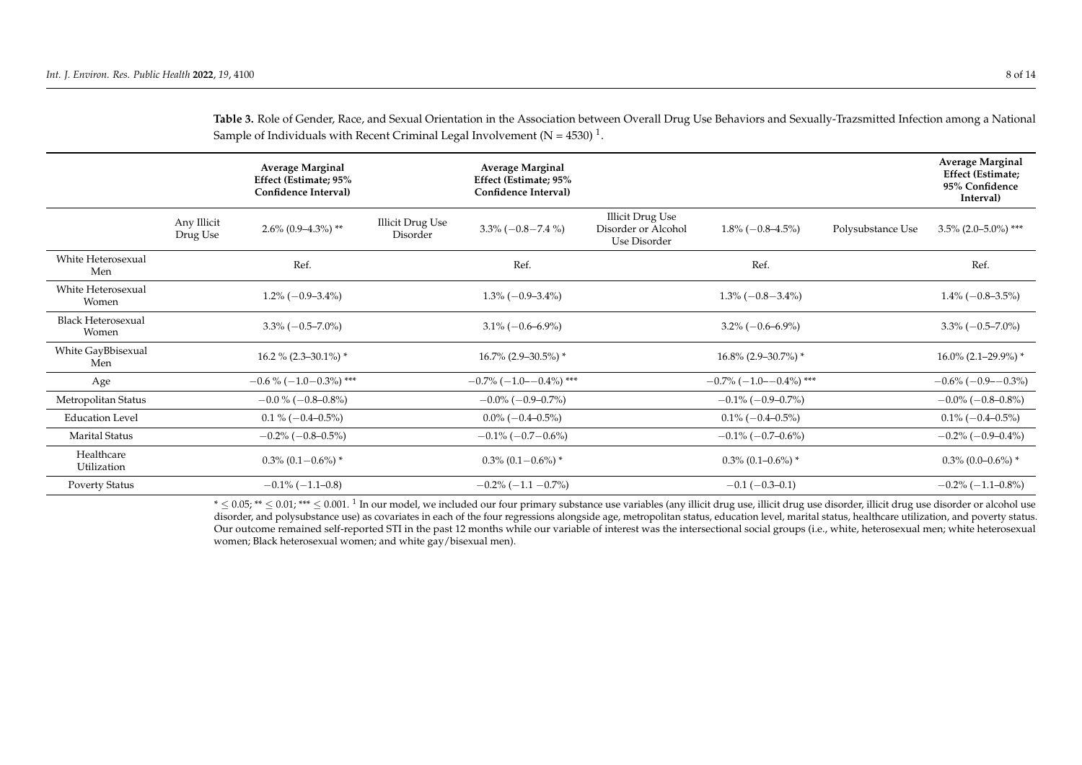|                                    |                         | <b>Average Marginal</b><br>Effect (Estimate; 95%<br>Confidence Interval) |                              | <b>Average Marginal</b><br>Effect (Estimate; 95%<br>Confidence Interval) |                                                                |                                    |                   | <b>Average Marginal</b><br><b>Effect (Estimate;</b><br>95% Confidence<br>Interval) |
|------------------------------------|-------------------------|--------------------------------------------------------------------------|------------------------------|--------------------------------------------------------------------------|----------------------------------------------------------------|------------------------------------|-------------------|------------------------------------------------------------------------------------|
|                                    | Any Illicit<br>Drug Use | $2.6\%$ (0.9-4.3%) **                                                    | Illicit Drug Use<br>Disorder | $3.3\% (-0.8 - 7.4\%)$                                                   | <b>Illicit Drug Use</b><br>Disorder or Alcohol<br>Use Disorder | $1.8\%(-0.8-4.5\%)$                | Polysubstance Use | $3.5\%$ (2.0-5.0%) ***                                                             |
| White Heterosexual<br>Men          |                         | Ref.                                                                     |                              | Ref.                                                                     |                                                                | Ref.                               |                   | Ref.                                                                               |
| White Heterosexual<br>Women        |                         | $1.2\% (-0.9-3.4\%)$                                                     |                              | $1.3\%(-0.9-3.4\%)$                                                      |                                                                | $1.3\%(-0.8-3.4\%)$                |                   | $1.4\%(-0.8-3.5\%)$                                                                |
| <b>Black Heterosexual</b><br>Women |                         | $3.3\% (-0.5 - 7.0\%)$                                                   |                              | $3.1\% (-0.6 - 6.9\%)$                                                   |                                                                | $3.2\% (-0.6 - 6.9\%)$             |                   | $3.3\% (-0.5 - 7.0\%)$                                                             |
| White GayBbisexual<br>Men          |                         | $16.2\%$ (2.3–30.1%) *                                                   |                              | $16.7\%$ (2.9-30.5%) *                                                   |                                                                | $16.8\%$ (2.9–30.7%) *             |                   | $16.0\%$ (2.1–29.9%) *                                                             |
| Age                                |                         | $-0.6\%(-1.0-0.3\%)$ ***                                                 |                              | $-0.7\%$ ( $-1.0$ - $-0.4\%$ ) ***                                       |                                                                | $-0.7\%$ ( $-1.0$ - $-0.4\%$ ) *** |                   | $-0.6\%$ ( $-0.9$ $-0.3\%$ )                                                       |
| Metropolitan Status                |                         | $-0.0\%(-0.8-0.8\%)$                                                     |                              | $-0.0\%$ ( $-0.9-0.7\%$ )                                                |                                                                | $-0.1\%$ ( $-0.9-0.7\%$ )          |                   | $-0.0\%$ ( $-0.8-0.8\%$ )                                                          |
| <b>Education Level</b>             |                         | $0.1\%(-0.4-0.5\%)$                                                      |                              | $0.0\% (-0.4 - 0.5\%)$                                                   |                                                                | $0.1\% (-0.4 - 0.5\%)$             |                   | $0.1\% (-0.4 - 0.5\%)$                                                             |
| <b>Marital Status</b>              |                         | $-0.2\%$ ( $-0.8-0.5\%$ )                                                |                              | $-0.1\%$ ( $-0.7-0.6\%$ )                                                |                                                                | $-0.1\%$ (-0.7-0.6%)               |                   | $-0.2\%$ (-0.9-0.4%)                                                               |
| Healthcare<br>Utilization          |                         | $0.3\%$ (0.1 - 0.6%) *                                                   |                              | $0.3\%$ (0.1 – 0.6%) *                                                   |                                                                | $0.3\%$ (0.1–0.6%) *               |                   | $0.3\%$ (0.0–0.6%) *                                                               |
| <b>Poverty Status</b>              |                         | $-0.1\% (-1.1 - 0.8)$                                                    |                              | $-0.2\%$ ( $-1.1$ $-0.7\%$ )                                             |                                                                | $-0.1(-0.3-0.1)$                   |                   | $-0.2\%(-1.1-0.8\%)$                                                               |

**Table 3.** Role of Gender, Race, and Sexual Orientation in the Association between Overall Drug Use Behaviors and Sexually-Trazsmitted Infection among a National Sample of Individuals with Recent Criminal Legal Involvement (N = 4530)  $^1$ .

<span id="page-7-0"></span> $*\leq 0.05$ ;  $^{**}$   $\leq 0.01$ ,  $^{***}$   $\leq 0.001$ .  $^{1}$  In our model, we included our four primary substance use variables (any illicit drug use, illicit drug use disorder, illicit drug use disorder or alcohol use disorder, and polysubstance use) as covariates in each of the four regressions alongside age, metropolitan status, education level, marital status, healthcare utilization, and poverty status. Our outcome remained self-reported STI in the past 12 months while our variable of interest was the intersectional social groups (i.e., white, heterosexual men; white heterosexual women; Black heterosexual women; and white gay/bisexual men).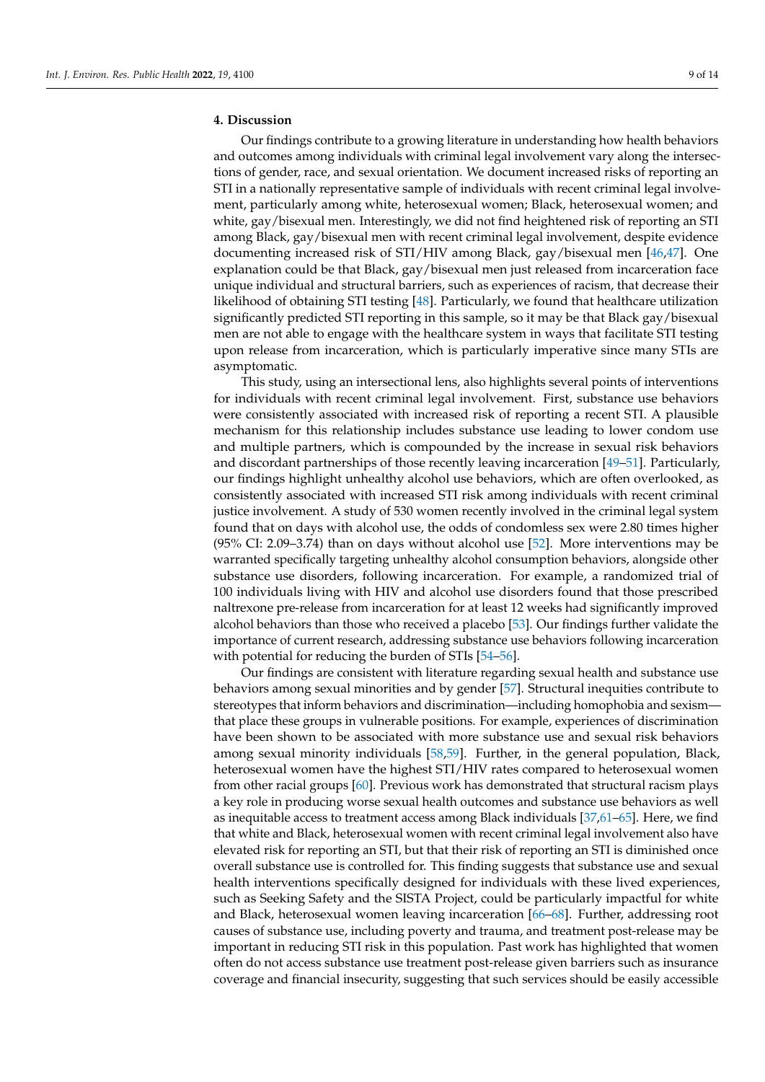# **4. Discussion**

Our findings contribute to a growing literature in understanding how health behaviors and outcomes among individuals with criminal legal involvement vary along the intersections of gender, race, and sexual orientation. We document increased risks of reporting an STI in a nationally representative sample of individuals with recent criminal legal involvement, particularly among white, heterosexual women; Black, heterosexual women; and white, gay/bisexual men. Interestingly, we did not find heightened risk of reporting an STI among Black, gay/bisexual men with recent criminal legal involvement, despite evidence documenting increased risk of STI/HIV among Black, gay/bisexual men [\[46](#page-12-5)[,47\]](#page-12-6). One explanation could be that Black, gay/bisexual men just released from incarceration face unique individual and structural barriers, such as experiences of racism, that decrease their likelihood of obtaining STI testing [\[48\]](#page-12-7). Particularly, we found that healthcare utilization significantly predicted STI reporting in this sample, so it may be that Black gay/bisexual men are not able to engage with the healthcare system in ways that facilitate STI testing upon release from incarceration, which is particularly imperative since many STIs are asymptomatic.

This study, using an intersectional lens, also highlights several points of interventions for individuals with recent criminal legal involvement. First, substance use behaviors were consistently associated with increased risk of reporting a recent STI. A plausible mechanism for this relationship includes substance use leading to lower condom use and multiple partners, which is compounded by the increase in sexual risk behaviors and discordant partnerships of those recently leaving incarceration [\[49](#page-12-8)[–51\]](#page-12-9). Particularly, our findings highlight unhealthy alcohol use behaviors, which are often overlooked, as consistently associated with increased STI risk among individuals with recent criminal justice involvement. A study of 530 women recently involved in the criminal legal system found that on days with alcohol use, the odds of condomless sex were 2.80 times higher (95% CI: 2.09–3.74) than on days without alcohol use [\[52\]](#page-12-10). More interventions may be warranted specifically targeting unhealthy alcohol consumption behaviors, alongside other substance use disorders, following incarceration. For example, a randomized trial of 100 individuals living with HIV and alcohol use disorders found that those prescribed naltrexone pre-release from incarceration for at least 12 weeks had significantly improved alcohol behaviors than those who received a placebo [\[53\]](#page-12-11). Our findings further validate the importance of current research, addressing substance use behaviors following incarceration with potential for reducing the burden of STIs [\[54](#page-12-12)[–56\]](#page-12-13).

Our findings are consistent with literature regarding sexual health and substance use behaviors among sexual minorities and by gender [\[57\]](#page-12-14). Structural inequities contribute to stereotypes that inform behaviors and discrimination—including homophobia and sexism that place these groups in vulnerable positions. For example, experiences of discrimination have been shown to be associated with more substance use and sexual risk behaviors among sexual minority individuals [\[58,](#page-12-15)[59\]](#page-12-16). Further, in the general population, Black, heterosexual women have the highest STI/HIV rates compared to heterosexual women from other racial groups [\[60\]](#page-12-17). Previous work has demonstrated that structural racism plays a key role in producing worse sexual health outcomes and substance use behaviors as well as inequitable access to treatment access among Black individuals [\[37,](#page-11-15)[61–](#page-12-18)[65\]](#page-13-0). Here, we find that white and Black, heterosexual women with recent criminal legal involvement also have elevated risk for reporting an STI, but that their risk of reporting an STI is diminished once overall substance use is controlled for. This finding suggests that substance use and sexual health interventions specifically designed for individuals with these lived experiences, such as Seeking Safety and the SISTA Project, could be particularly impactful for white and Black, heterosexual women leaving incarceration [\[66](#page-13-1)[–68\]](#page-13-2). Further, addressing root causes of substance use, including poverty and trauma, and treatment post-release may be important in reducing STI risk in this population. Past work has highlighted that women often do not access substance use treatment post-release given barriers such as insurance coverage and financial insecurity, suggesting that such services should be easily accessible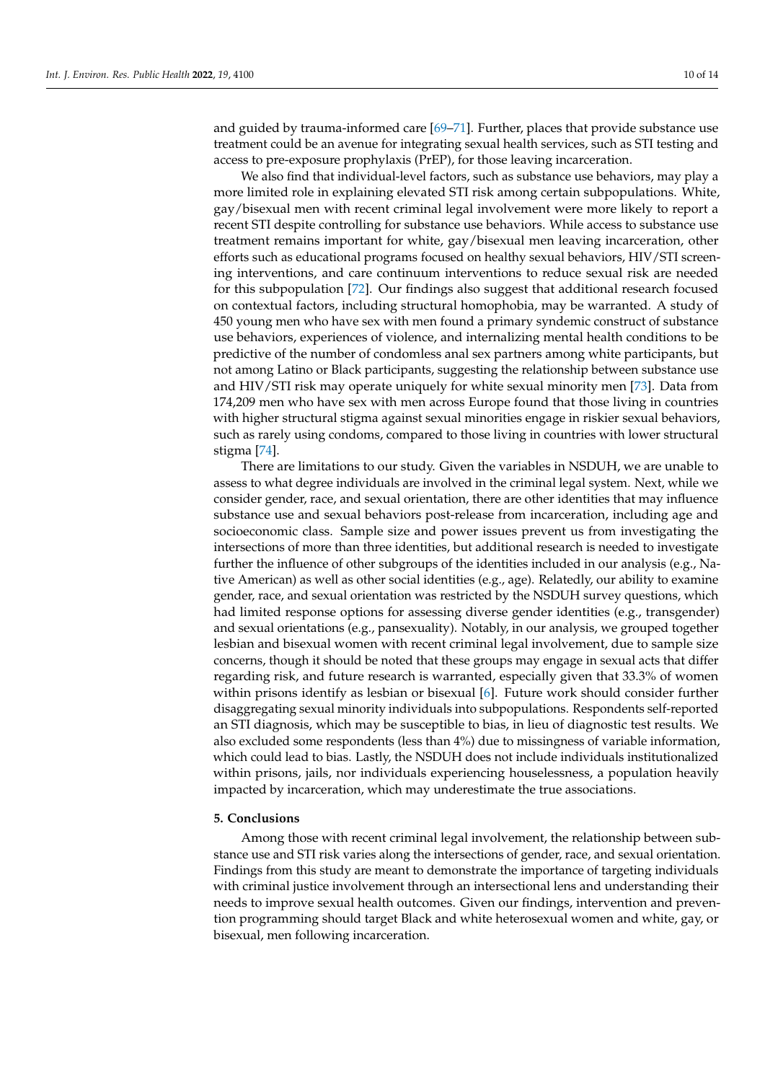and guided by trauma-informed care [\[69](#page-13-3)[–71\]](#page-13-4). Further, places that provide substance use treatment could be an avenue for integrating sexual health services, such as STI testing and access to pre-exposure prophylaxis (PrEP), for those leaving incarceration.

We also find that individual-level factors, such as substance use behaviors, may play a more limited role in explaining elevated STI risk among certain subpopulations. White, gay/bisexual men with recent criminal legal involvement were more likely to report a recent STI despite controlling for substance use behaviors. While access to substance use treatment remains important for white, gay/bisexual men leaving incarceration, other efforts such as educational programs focused on healthy sexual behaviors, HIV/STI screening interventions, and care continuum interventions to reduce sexual risk are needed for this subpopulation [\[72\]](#page-13-5). Our findings also suggest that additional research focused on contextual factors, including structural homophobia, may be warranted. A study of 450 young men who have sex with men found a primary syndemic construct of substance use behaviors, experiences of violence, and internalizing mental health conditions to be predictive of the number of condomless anal sex partners among white participants, but not among Latino or Black participants, suggesting the relationship between substance use and HIV/STI risk may operate uniquely for white sexual minority men [\[73\]](#page-13-6). Data from 174,209 men who have sex with men across Europe found that those living in countries with higher structural stigma against sexual minorities engage in riskier sexual behaviors, such as rarely using condoms, compared to those living in countries with lower structural stigma [\[74\]](#page-13-7).

There are limitations to our study. Given the variables in NSDUH, we are unable to assess to what degree individuals are involved in the criminal legal system. Next, while we consider gender, race, and sexual orientation, there are other identities that may influence substance use and sexual behaviors post-release from incarceration, including age and socioeconomic class. Sample size and power issues prevent us from investigating the intersections of more than three identities, but additional research is needed to investigate further the influence of other subgroups of the identities included in our analysis (e.g., Native American) as well as other social identities (e.g., age). Relatedly, our ability to examine gender, race, and sexual orientation was restricted by the NSDUH survey questions, which had limited response options for assessing diverse gender identities (e.g., transgender) and sexual orientations (e.g., pansexuality). Notably, in our analysis, we grouped together lesbian and bisexual women with recent criminal legal involvement, due to sample size concerns, though it should be noted that these groups may engage in sexual acts that differ regarding risk, and future research is warranted, especially given that 33.3% of women within prisons identify as lesbian or bisexual [\[6\]](#page-10-5). Future work should consider further disaggregating sexual minority individuals into subpopulations. Respondents self-reported an STI diagnosis, which may be susceptible to bias, in lieu of diagnostic test results. We also excluded some respondents (less than 4%) due to missingness of variable information, which could lead to bias. Lastly, the NSDUH does not include individuals institutionalized within prisons, jails, nor individuals experiencing houselessness, a population heavily impacted by incarceration, which may underestimate the true associations.

### **5. Conclusions**

Among those with recent criminal legal involvement, the relationship between substance use and STI risk varies along the intersections of gender, race, and sexual orientation. Findings from this study are meant to demonstrate the importance of targeting individuals with criminal justice involvement through an intersectional lens and understanding their needs to improve sexual health outcomes. Given our findings, intervention and prevention programming should target Black and white heterosexual women and white, gay, or bisexual, men following incarceration.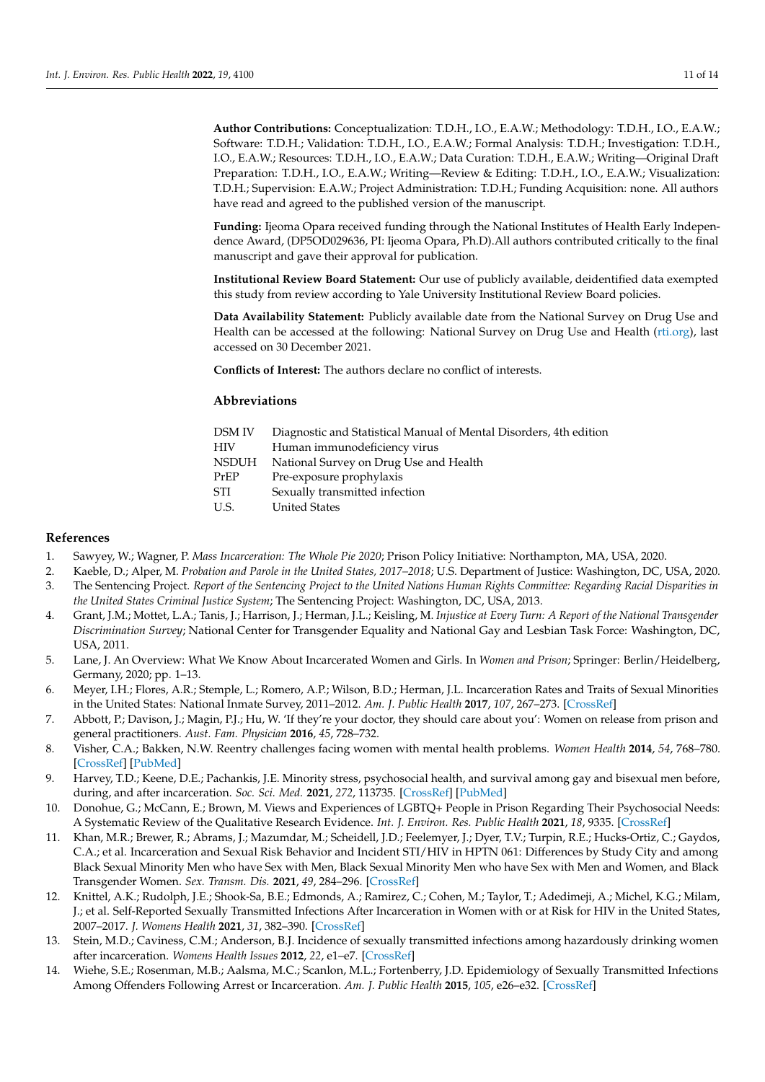**Author Contributions:** Conceptualization: T.D.H., I.O., E.A.W.; Methodology: T.D.H., I.O., E.A.W.; Software: T.D.H.; Validation: T.D.H., I.O., E.A.W.; Formal Analysis: T.D.H.; Investigation: T.D.H., I.O., E.A.W.; Resources: T.D.H., I.O., E.A.W.; Data Curation: T.D.H., E.A.W.; Writing—Original Draft Preparation: T.D.H., I.O., E.A.W.; Writing—Review & Editing: T.D.H., I.O., E.A.W.; Visualization: T.D.H.; Supervision: E.A.W.; Project Administration: T.D.H.; Funding Acquisition: none. All authors have read and agreed to the published version of the manuscript.

**Funding:** Ijeoma Opara received funding through the National Institutes of Health Early Independence Award, (DP5OD029636, PI: Ijeoma Opara, Ph.D).All authors contributed critically to the final manuscript and gave their approval for publication.

**Institutional Review Board Statement:** Our use of publicly available, deidentified data exempted this study from review according to Yale University Institutional Review Board policies.

**Data Availability Statement:** Publicly available date from the National Survey on Drug Use and Health can be accessed at the following: National Survey on Drug Use and Health [\(rti.org\)](rti.org), last accessed on 30 December 2021.

**Conflicts of Interest:** The authors declare no conflict of interests.

## **Abbreviations**

| DSM IV | Diagnostic and Statistical Manual of Mental Disorders, 4th edition |
|--------|--------------------------------------------------------------------|
| HIV    | Human immunodeficiency virus                                       |
| NSDUH  | National Survey on Drug Use and Health                             |
| PrEP   | Pre-exposure prophylaxis                                           |
| STI    | Sexually transmitted infection                                     |
| U.S.   | <b>United States</b>                                               |
|        |                                                                    |

## **References**

- <span id="page-10-0"></span>1. Sawyey, W.; Wagner, P. *Mass Incarceration: The Whole Pie 2020*; Prison Policy Initiative: Northampton, MA, USA, 2020.
- <span id="page-10-2"></span><span id="page-10-1"></span>2. Kaeble, D.; Alper, M. *Probation and Parole in the United States, 2017–2018*; U.S. Department of Justice: Washington, DC, USA, 2020. 3. The Sentencing Project. *Report of the Sentencing Project to the United Nations Human Rights Committee: Regarding Racial Disparities in the United States Criminal Justice System*; The Sentencing Project: Washington, DC, USA, 2013.
- <span id="page-10-3"></span>4. Grant, J.M.; Mottet, L.A.; Tanis, J.; Harrison, J.; Herman, J.L.; Keisling, M. *Injustice at Every Turn: A Report of the National Transgender Discrimination Survey*; National Center for Transgender Equality and National Gay and Lesbian Task Force: Washington, DC, USA, 2011.
- <span id="page-10-4"></span>5. Lane, J. An Overview: What We Know About Incarcerated Women and Girls. In *Women and Prison*; Springer: Berlin/Heidelberg, Germany, 2020; pp. 1–13.
- <span id="page-10-5"></span>6. Meyer, I.H.; Flores, A.R.; Stemple, L.; Romero, A.P.; Wilson, B.D.; Herman, J.L. Incarceration Rates and Traits of Sexual Minorities in the United States: National Inmate Survey, 2011–2012. *Am. J. Public Health* **2017**, *107*, 267–273. [\[CrossRef\]](http://doi.org/10.2105/AJPH.2016.303576)
- <span id="page-10-6"></span>7. Abbott, P.; Davison, J.; Magin, P.J.; Hu, W. 'If they're your doctor, they should care about you': Women on release from prison and general practitioners. *Aust. Fam. Physician* **2016**, *45*, 728–732.
- 8. Visher, C.A.; Bakken, N.W. Reentry challenges facing women with mental health problems. *Women Health* **2014**, *54*, 768–780. [\[CrossRef\]](http://doi.org/10.1080/03630242.2014.932889) [\[PubMed\]](http://www.ncbi.nlm.nih.gov/pubmed/25190220)
- 9. Harvey, T.D.; Keene, D.E.; Pachankis, J.E. Minority stress, psychosocial health, and survival among gay and bisexual men before, during, and after incarceration. *Soc. Sci. Med.* **2021**, *272*, 113735. [\[CrossRef\]](http://doi.org/10.1016/j.socscimed.2021.113735) [\[PubMed\]](http://www.ncbi.nlm.nih.gov/pubmed/33561571)
- <span id="page-10-7"></span>10. Donohue, G.; McCann, E.; Brown, M. Views and Experiences of LGBTQ+ People in Prison Regarding Their Psychosocial Needs: A Systematic Review of the Qualitative Research Evidence. *Int. J. Environ. Res. Public Health* **2021**, *18*, 9335. [\[CrossRef\]](http://doi.org/10.3390/ijerph18179335)
- <span id="page-10-8"></span>11. Khan, M.R.; Brewer, R.; Abrams, J.; Mazumdar, M.; Scheidell, J.D.; Feelemyer, J.; Dyer, T.V.; Turpin, R.E.; Hucks-Ortiz, C.; Gaydos, C.A.; et al. Incarceration and Sexual Risk Behavior and Incident STI/HIV in HPTN 061: Differences by Study City and among Black Sexual Minority Men who have Sex with Men, Black Sexual Minority Men who have Sex with Men and Women, and Black Transgender Women. *Sex. Transm. Dis.* **2021**, *49*, 284–296. [\[CrossRef\]](http://doi.org/10.1097/OLQ.0000000000001594)
- 12. Knittel, A.K.; Rudolph, J.E.; Shook-Sa, B.E.; Edmonds, A.; Ramirez, C.; Cohen, M.; Taylor, T.; Adedimeji, A.; Michel, K.G.; Milam, J.; et al. Self-Reported Sexually Transmitted Infections After Incarceration in Women with or at Risk for HIV in the United States, 2007–2017. *J. Womens Health* **2021**, *31*, 382–390. [\[CrossRef\]](http://doi.org/10.1089/jwh.2021.0215)
- <span id="page-10-9"></span>13. Stein, M.D.; Caviness, C.M.; Anderson, B.J. Incidence of sexually transmitted infections among hazardously drinking women after incarceration. *Womens Health Issues* **2012**, *22*, e1–e7. [\[CrossRef\]](http://doi.org/10.1016/j.whi.2011.05.005)
- <span id="page-10-10"></span>14. Wiehe, S.E.; Rosenman, M.B.; Aalsma, M.C.; Scanlon, M.L.; Fortenberry, J.D. Epidemiology of Sexually Transmitted Infections Among Offenders Following Arrest or Incarceration. *Am. J. Public Health* **2015**, *105*, e26–e32. [\[CrossRef\]](http://doi.org/10.2105/AJPH.2015.302852)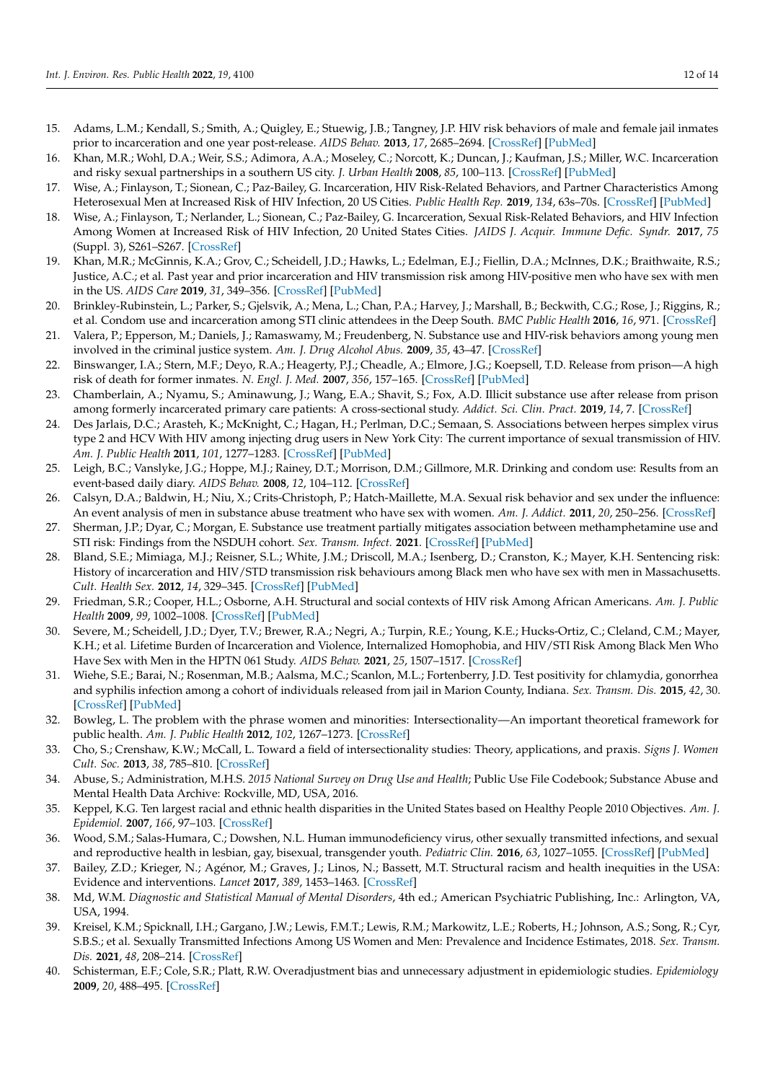- <span id="page-11-0"></span>15. Adams, L.M.; Kendall, S.; Smith, A.; Quigley, E.; Stuewig, J.B.; Tangney, J.P. HIV risk behaviors of male and female jail inmates prior to incarceration and one year post-release. *AIDS Behav.* **2013**, *17*, 2685–2694. [\[CrossRef\]](http://doi.org/10.1007/s10461-011-9990-2) [\[PubMed\]](http://www.ncbi.nlm.nih.gov/pubmed/21779954)
- <span id="page-11-1"></span>16. Khan, M.R.; Wohl, D.A.; Weir, S.S.; Adimora, A.A.; Moseley, C.; Norcott, K.; Duncan, J.; Kaufman, J.S.; Miller, W.C. Incarceration and risky sexual partnerships in a southern US city. *J. Urban Health* **2008**, *85*, 100–113. [\[CrossRef\]](http://doi.org/10.1007/s11524-007-9237-8) [\[PubMed\]](http://www.ncbi.nlm.nih.gov/pubmed/18027088)
- 17. Wise, A.; Finlayson, T.; Sionean, C.; Paz-Bailey, G. Incarceration, HIV Risk-Related Behaviors, and Partner Characteristics Among Heterosexual Men at Increased Risk of HIV Infection, 20 US Cities. *Public Health Rep.* **2019**, *134*, 63s–70s. [\[CrossRef\]](http://doi.org/10.1177/0033354919833435) [\[PubMed\]](http://www.ncbi.nlm.nih.gov/pubmed/31059417)
- 18. Wise, A.; Finlayson, T.; Nerlander, L.; Sionean, C.; Paz-Bailey, G. Incarceration, Sexual Risk-Related Behaviors, and HIV Infection Among Women at Increased Risk of HIV Infection, 20 United States Cities. *JAIDS J. Acquir. Immune Defic. Syndr.* **2017**, *75* (Suppl. 3), S261–S267. [\[CrossRef\]](http://doi.org/10.1097/QAI.0000000000001401)
- <span id="page-11-3"></span>19. Khan, M.R.; McGinnis, K.A.; Grov, C.; Scheidell, J.D.; Hawks, L.; Edelman, E.J.; Fiellin, D.A.; McInnes, D.K.; Braithwaite, R.S.; Justice, A.C.; et al. Past year and prior incarceration and HIV transmission risk among HIV-positive men who have sex with men in the US. *AIDS Care* **2019**, *31*, 349–356. [\[CrossRef\]](http://doi.org/10.1080/09540121.2018.1499861) [\[PubMed\]](http://www.ncbi.nlm.nih.gov/pubmed/30064277)
- 20. Brinkley-Rubinstein, L.; Parker, S.; Gjelsvik, A.; Mena, L.; Chan, P.A.; Harvey, J.; Marshall, B.; Beckwith, C.G.; Rose, J.; Riggins, R.; et al. Condom use and incarceration among STI clinic attendees in the Deep South. *BMC Public Health* **2016**, *16*, 971. [\[CrossRef\]](http://doi.org/10.1186/s12889-016-3590-z)
- <span id="page-11-2"></span>21. Valera, P.; Epperson, M.; Daniels, J.; Ramaswamy, M.; Freudenberg, N. Substance use and HIV-risk behaviors among young men involved in the criminal justice system. *Am. J. Drug Alcohol Abus.* **2009**, *35*, 43–47. [\[CrossRef\]](http://doi.org/10.1080/00952990802342923)
- <span id="page-11-4"></span>22. Binswanger, I.A.; Stern, M.F.; Deyo, R.A.; Heagerty, P.J.; Cheadle, A.; Elmore, J.G.; Koepsell, T.D. Release from prison—A high risk of death for former inmates. *N. Engl. J. Med.* **2007**, *356*, 157–165. [\[CrossRef\]](http://doi.org/10.1056/NEJMsa064115) [\[PubMed\]](http://www.ncbi.nlm.nih.gov/pubmed/17215533)
- 23. Chamberlain, A.; Nyamu, S.; Aminawung, J.; Wang, E.A.; Shavit, S.; Fox, A.D. Illicit substance use after release from prison among formerly incarcerated primary care patients: A cross-sectional study. *Addict. Sci. Clin. Pract.* **2019**, *14*, 7. [\[CrossRef\]](http://doi.org/10.1186/s13722-019-0136-6)
- 24. Des Jarlais, D.C.; Arasteh, K.; McKnight, C.; Hagan, H.; Perlman, D.C.; Semaan, S. Associations between herpes simplex virus type 2 and HCV With HIV among injecting drug users in New York City: The current importance of sexual transmission of HIV. *Am. J. Public Health* **2011**, *101*, 1277–1283. [\[CrossRef\]](http://doi.org/10.2105/AJPH.2011.300130) [\[PubMed\]](http://www.ncbi.nlm.nih.gov/pubmed/21566021)
- 25. Leigh, B.C.; Vanslyke, J.G.; Hoppe, M.J.; Rainey, D.T.; Morrison, D.M.; Gillmore, M.R. Drinking and condom use: Results from an event-based daily diary. *AIDS Behav.* **2008**, *12*, 104–112. [\[CrossRef\]](http://doi.org/10.1007/s10461-007-9216-9)
- 26. Calsyn, D.A.; Baldwin, H.; Niu, X.; Crits-Christoph, P.; Hatch-Maillette, M.A. Sexual risk behavior and sex under the influence: An event analysis of men in substance abuse treatment who have sex with women. *Am. J. Addict.* **2011**, *20*, 250–256. [\[CrossRef\]](http://doi.org/10.1111/j.1521-0391.2011.00123.x)
- <span id="page-11-5"></span>27. Sherman, J.P.; Dyar, C.; Morgan, E. Substance use treatment partially mitigates association between methamphetamine use and STI risk: Findings from the NSDUH cohort. *Sex. Transm. Infect.* **2021**. [\[CrossRef\]](http://doi.org/10.1136/sextrans-2021-055004) [\[PubMed\]](http://www.ncbi.nlm.nih.gov/pubmed/33952681)
- <span id="page-11-6"></span>28. Bland, S.E.; Mimiaga, M.J.; Reisner, S.L.; White, J.M.; Driscoll, M.A.; Isenberg, D.; Cranston, K.; Mayer, K.H. Sentencing risk: History of incarceration and HIV/STD transmission risk behaviours among Black men who have sex with men in Massachusetts. *Cult. Health Sex.* **2012**, *14*, 329–345. [\[CrossRef\]](http://doi.org/10.1080/13691058.2011.639902) [\[PubMed\]](http://www.ncbi.nlm.nih.gov/pubmed/22150578)
- <span id="page-11-7"></span>29. Friedman, S.R.; Cooper, H.L.; Osborne, A.H. Structural and social contexts of HIV risk Among African Americans. *Am. J. Public Health* **2009**, *99*, 1002–1008. [\[CrossRef\]](http://doi.org/10.2105/AJPH.2008.140327) [\[PubMed\]](http://www.ncbi.nlm.nih.gov/pubmed/19372519)
- <span id="page-11-8"></span>30. Severe, M.; Scheidell, J.D.; Dyer, T.V.; Brewer, R.A.; Negri, A.; Turpin, R.E.; Young, K.E.; Hucks-Ortiz, C.; Cleland, C.M.; Mayer, K.H.; et al. Lifetime Burden of Incarceration and Violence, Internalized Homophobia, and HIV/STI Risk Among Black Men Who Have Sex with Men in the HPTN 061 Study. *AIDS Behav.* **2021**, *25*, 1507–1517. [\[CrossRef\]](http://doi.org/10.1007/s10461-020-02989-w)
- <span id="page-11-9"></span>31. Wiehe, S.E.; Barai, N.; Rosenman, M.B.; Aalsma, M.C.; Scanlon, M.L.; Fortenberry, J.D. Test positivity for chlamydia, gonorrhea and syphilis infection among a cohort of individuals released from jail in Marion County, Indiana. *Sex. Transm. Dis.* **2015**, *42*, 30. [\[CrossRef\]](http://doi.org/10.1097/OLQ.0000000000000224) [\[PubMed\]](http://www.ncbi.nlm.nih.gov/pubmed/25504298)
- <span id="page-11-10"></span>32. Bowleg, L. The problem with the phrase women and minorities: Intersectionality—An important theoretical framework for public health. *Am. J. Public Health* **2012**, *102*, 1267–1273. [\[CrossRef\]](http://doi.org/10.2105/AJPH.2012.300750)
- <span id="page-11-11"></span>33. Cho, S.; Crenshaw, K.W.; McCall, L. Toward a field of intersectionality studies: Theory, applications, and praxis. *Signs J. Women Cult. Soc.* **2013**, *38*, 785–810. [\[CrossRef\]](http://doi.org/10.1086/669608)
- <span id="page-11-12"></span>34. Abuse, S.; Administration, M.H.S. *2015 National Survey on Drug Use and Health*; Public Use File Codebook; Substance Abuse and Mental Health Data Archive: Rockville, MD, USA, 2016.
- <span id="page-11-13"></span>35. Keppel, K.G. Ten largest racial and ethnic health disparities in the United States based on Healthy People 2010 Objectives. *Am. J. Epidemiol.* **2007**, *166*, 97–103. [\[CrossRef\]](http://doi.org/10.1093/aje/kwm044)
- <span id="page-11-14"></span>36. Wood, S.M.; Salas-Humara, C.; Dowshen, N.L. Human immunodeficiency virus, other sexually transmitted infections, and sexual and reproductive health in lesbian, gay, bisexual, transgender youth. *Pediatric Clin.* **2016**, *63*, 1027–1055. [\[CrossRef\]](http://doi.org/10.1016/j.pcl.2016.07.006) [\[PubMed\]](http://www.ncbi.nlm.nih.gov/pubmed/27865332)
- <span id="page-11-15"></span>37. Bailey, Z.D.; Krieger, N.; Agénor, M.; Graves, J.; Linos, N.; Bassett, M.T. Structural racism and health inequities in the USA: Evidence and interventions. *Lancet* **2017**, *389*, 1453–1463. [\[CrossRef\]](http://doi.org/10.1016/S0140-6736(17)30569-X)
- <span id="page-11-16"></span>38. Md, W.M. *Diagnostic and Statistical Manual of Mental Disorders*, 4th ed.; American Psychiatric Publishing, Inc.: Arlington, VA, USA, 1994.
- <span id="page-11-17"></span>39. Kreisel, K.M.; Spicknall, I.H.; Gargano, J.W.; Lewis, F.M.T.; Lewis, R.M.; Markowitz, L.E.; Roberts, H.; Johnson, A.S.; Song, R.; Cyr, S.B.S.; et al. Sexually Transmitted Infections Among US Women and Men: Prevalence and Incidence Estimates, 2018. *Sex. Transm. Dis.* **2021**, *48*, 208–214. [\[CrossRef\]](http://doi.org/10.1097/OLQ.0000000000001355)
- <span id="page-11-18"></span>40. Schisterman, E.F.; Cole, S.R.; Platt, R.W. Overadjustment bias and unnecessary adjustment in epidemiologic studies. *Epidemiology* **2009**, *20*, 488–495. [\[CrossRef\]](http://doi.org/10.1097/EDE.0b013e3181a819a1)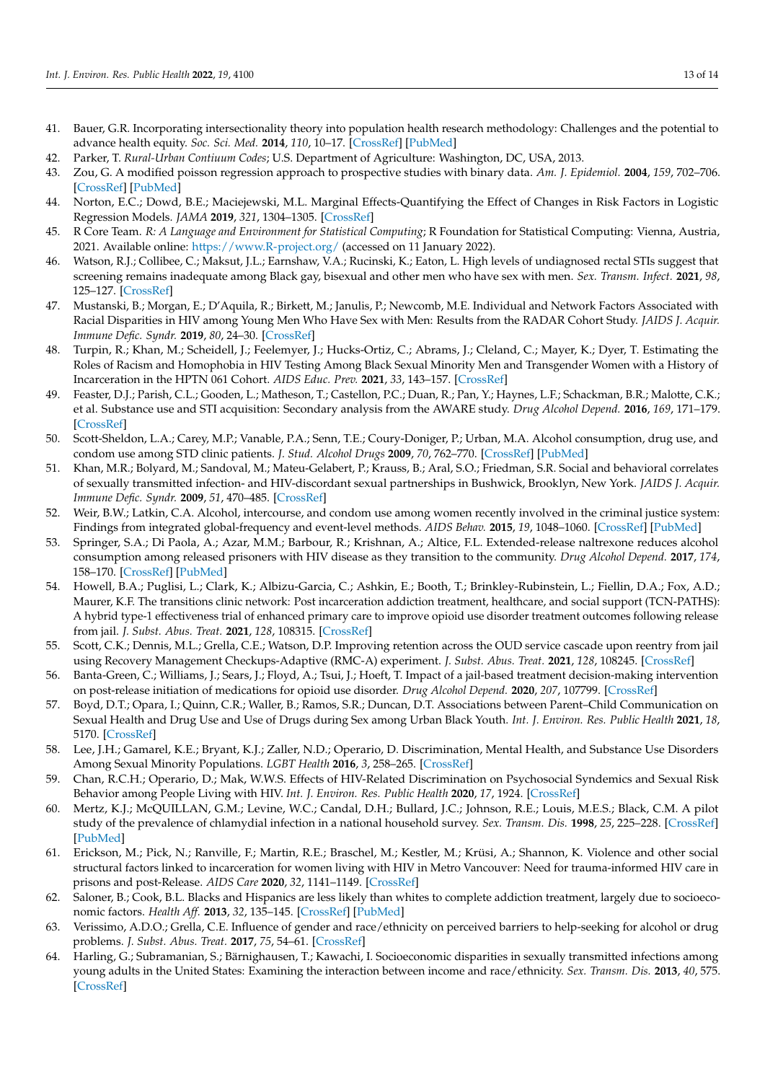- <span id="page-12-0"></span>41. Bauer, G.R. Incorporating intersectionality theory into population health research methodology: Challenges and the potential to advance health equity. *Soc. Sci. Med.* **2014**, *110*, 10–17. [\[CrossRef\]](http://doi.org/10.1016/j.socscimed.2014.03.022) [\[PubMed\]](http://www.ncbi.nlm.nih.gov/pubmed/24704889)
- <span id="page-12-1"></span>42. Parker, T. *Rural-Urban Contiuum Codes*; U.S. Department of Agriculture: Washington, DC, USA, 2013.
- <span id="page-12-2"></span>43. Zou, G. A modified poisson regression approach to prospective studies with binary data. *Am. J. Epidemiol.* **2004**, *159*, 702–706. [\[CrossRef\]](http://doi.org/10.1093/aje/kwh090) [\[PubMed\]](http://www.ncbi.nlm.nih.gov/pubmed/15033648)
- <span id="page-12-3"></span>44. Norton, E.C.; Dowd, B.E.; Maciejewski, M.L. Marginal Effects-Quantifying the Effect of Changes in Risk Factors in Logistic Regression Models. *JAMA* **2019**, *321*, 1304–1305. [\[CrossRef\]](http://doi.org/10.1001/jama.2019.1954)
- <span id="page-12-4"></span>45. R Core Team. *R: A Language and Environment for Statistical Computing*; R Foundation for Statistical Computing: Vienna, Austria, 2021. Available online: <https://www.R-project.org/> (accessed on 11 January 2022).
- <span id="page-12-5"></span>46. Watson, R.J.; Collibee, C.; Maksut, J.L.; Earnshaw, V.A.; Rucinski, K.; Eaton, L. High levels of undiagnosed rectal STIs suggest that screening remains inadequate among Black gay, bisexual and other men who have sex with men. *Sex. Transm. Infect.* **2021**, *98*, 125–127. [\[CrossRef\]](http://doi.org/10.1136/sextrans-2020-054563)
- <span id="page-12-6"></span>47. Mustanski, B.; Morgan, E.; D'Aquila, R.; Birkett, M.; Janulis, P.; Newcomb, M.E. Individual and Network Factors Associated with Racial Disparities in HIV among Young Men Who Have Sex with Men: Results from the RADAR Cohort Study. *JAIDS J. Acquir. Immune Defic. Syndr.* **2019**, *80*, 24–30. [\[CrossRef\]](http://doi.org/10.1097/QAI.0000000000001886)
- <span id="page-12-7"></span>48. Turpin, R.; Khan, M.; Scheidell, J.; Feelemyer, J.; Hucks-Ortiz, C.; Abrams, J.; Cleland, C.; Mayer, K.; Dyer, T. Estimating the Roles of Racism and Homophobia in HIV Testing Among Black Sexual Minority Men and Transgender Women with a History of Incarceration in the HPTN 061 Cohort. *AIDS Educ. Prev.* **2021**, *33*, 143–157. [\[CrossRef\]](http://doi.org/10.1521/aeap.2021.33.2.143)
- <span id="page-12-8"></span>49. Feaster, D.J.; Parish, C.L.; Gooden, L.; Matheson, T.; Castellon, P.C.; Duan, R.; Pan, Y.; Haynes, L.F.; Schackman, B.R.; Malotte, C.K.; et al. Substance use and STI acquisition: Secondary analysis from the AWARE study. *Drug Alcohol Depend.* **2016**, *169*, 171–179. [\[CrossRef\]](http://doi.org/10.1016/j.drugalcdep.2016.10.027)
- 50. Scott-Sheldon, L.A.; Carey, M.P.; Vanable, P.A.; Senn, T.E.; Coury-Doniger, P.; Urban, M.A. Alcohol consumption, drug use, and condom use among STD clinic patients. *J. Stud. Alcohol Drugs* **2009**, *70*, 762–770. [\[CrossRef\]](http://doi.org/10.15288/jsad.2009.70.762) [\[PubMed\]](http://www.ncbi.nlm.nih.gov/pubmed/19737501)
- <span id="page-12-9"></span>51. Khan, M.R.; Bolyard, M.; Sandoval, M.; Mateu-Gelabert, P.; Krauss, B.; Aral, S.O.; Friedman, S.R. Social and behavioral correlates of sexually transmitted infection- and HIV-discordant sexual partnerships in Bushwick, Brooklyn, New York. *JAIDS J. Acquir. Immune Defic. Syndr.* **2009**, *51*, 470–485. [\[CrossRef\]](http://doi.org/10.1097/QAI.0b013e3181a2810a)
- <span id="page-12-10"></span>52. Weir, B.W.; Latkin, C.A. Alcohol, intercourse, and condom use among women recently involved in the criminal justice system: Findings from integrated global-frequency and event-level methods. *AIDS Behav.* **2015**, *19*, 1048–1060. [\[CrossRef\]](http://doi.org/10.1007/s10461-014-0857-1) [\[PubMed\]](http://www.ncbi.nlm.nih.gov/pubmed/25100052)
- <span id="page-12-11"></span>53. Springer, S.A.; Di Paola, A.; Azar, M.M.; Barbour, R.; Krishnan, A.; Altice, F.L. Extended-release naltrexone reduces alcohol consumption among released prisoners with HIV disease as they transition to the community. *Drug Alcohol Depend.* **2017**, *174*, 158–170. [\[CrossRef\]](http://doi.org/10.1016/j.drugalcdep.2017.01.026) [\[PubMed\]](http://www.ncbi.nlm.nih.gov/pubmed/28334661)
- <span id="page-12-12"></span>54. Howell, B.A.; Puglisi, L.; Clark, K.; Albizu-Garcia, C.; Ashkin, E.; Booth, T.; Brinkley-Rubinstein, L.; Fiellin, D.A.; Fox, A.D.; Maurer, K.F. The transitions clinic network: Post incarceration addiction treatment, healthcare, and social support (TCN-PATHS): A hybrid type-1 effectiveness trial of enhanced primary care to improve opioid use disorder treatment outcomes following release from jail. *J. Subst. Abus. Treat.* **2021**, *128*, 108315. [\[CrossRef\]](http://doi.org/10.1016/j.jsat.2021.108315)
- 55. Scott, C.K.; Dennis, M.L.; Grella, C.E.; Watson, D.P. Improving retention across the OUD service cascade upon reentry from jail using Recovery Management Checkups-Adaptive (RMC-A) experiment. *J. Subst. Abus. Treat.* **2021**, *128*, 108245. [\[CrossRef\]](http://doi.org/10.1016/j.jsat.2020.108245)
- <span id="page-12-13"></span>56. Banta-Green, C.; Williams, J.; Sears, J.; Floyd, A.; Tsui, J.; Hoeft, T. Impact of a jail-based treatment decision-making intervention on post-release initiation of medications for opioid use disorder. *Drug Alcohol Depend.* **2020**, *207*, 107799. [\[CrossRef\]](http://doi.org/10.1016/j.drugalcdep.2019.107799)
- <span id="page-12-14"></span>57. Boyd, D.T.; Opara, I.; Quinn, C.R.; Waller, B.; Ramos, S.R.; Duncan, D.T. Associations between Parent–Child Communication on Sexual Health and Drug Use and Use of Drugs during Sex among Urban Black Youth. *Int. J. Environ. Res. Public Health* **2021**, *18*, 5170. [\[CrossRef\]](http://doi.org/10.3390/ijerph18105170)
- <span id="page-12-15"></span>58. Lee, J.H.; Gamarel, K.E.; Bryant, K.J.; Zaller, N.D.; Operario, D. Discrimination, Mental Health, and Substance Use Disorders Among Sexual Minority Populations. *LGBT Health* **2016**, *3*, 258–265. [\[CrossRef\]](http://doi.org/10.1089/lgbt.2015.0135)
- <span id="page-12-16"></span>59. Chan, R.C.H.; Operario, D.; Mak, W.W.S. Effects of HIV-Related Discrimination on Psychosocial Syndemics and Sexual Risk Behavior among People Living with HIV. *Int. J. Environ. Res. Public Health* **2020**, *17*, 1924. [\[CrossRef\]](http://doi.org/10.3390/ijerph17061924)
- <span id="page-12-17"></span>60. Mertz, K.J.; McQUILLAN, G.M.; Levine, W.C.; Candal, D.H.; Bullard, J.C.; Johnson, R.E.; Louis, M.E.S.; Black, C.M. A pilot study of the prevalence of chlamydial infection in a national household survey. *Sex. Transm. Dis.* **1998**, *25*, 225–228. [\[CrossRef\]](http://doi.org/10.1097/00007435-199805000-00001) [\[PubMed\]](http://www.ncbi.nlm.nih.gov/pubmed/9587171)
- <span id="page-12-18"></span>61. Erickson, M.; Pick, N.; Ranville, F.; Martin, R.E.; Braschel, M.; Kestler, M.; Krüsi, A.; Shannon, K. Violence and other social structural factors linked to incarceration for women living with HIV in Metro Vancouver: Need for trauma-informed HIV care in prisons and post-Release. *AIDS Care* **2020**, *32*, 1141–1149. [\[CrossRef\]](http://doi.org/10.1080/09540121.2020.1717418)
- 62. Saloner, B.; Cook, B.L. Blacks and Hispanics are less likely than whites to complete addiction treatment, largely due to socioeconomic factors. *Health Aff.* **2013**, *32*, 135–145. [\[CrossRef\]](http://doi.org/10.1377/hlthaff.2011.0983) [\[PubMed\]](http://www.ncbi.nlm.nih.gov/pubmed/23297281)
- 63. Verissimo, A.D.O.; Grella, C.E. Influence of gender and race/ethnicity on perceived barriers to help-seeking for alcohol or drug problems. *J. Subst. Abus. Treat.* **2017**, *75*, 54–61. [\[CrossRef\]](http://doi.org/10.1016/j.jsat.2016.12.013)
- 64. Harling, G.; Subramanian, S.; Bärnighausen, T.; Kawachi, I. Socioeconomic disparities in sexually transmitted infections among young adults in the United States: Examining the interaction between income and race/ethnicity. *Sex. Transm. Dis.* **2013**, *40*, 575. [\[CrossRef\]](http://doi.org/10.1097/OLQ.0b013e31829529cf)